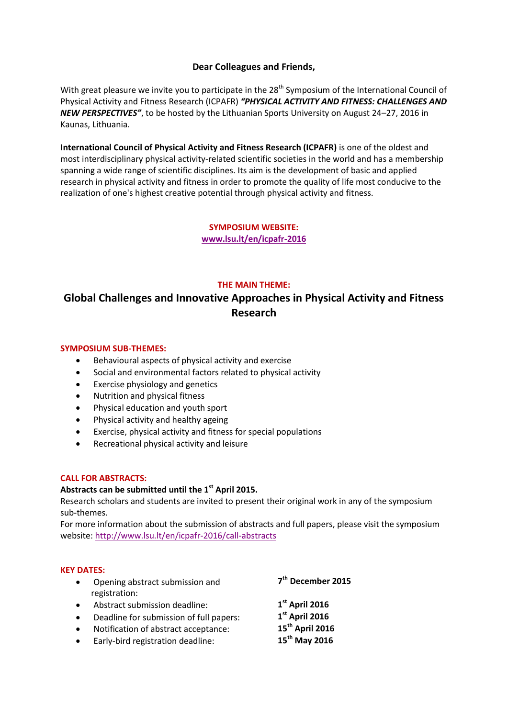# **Dear Colleagues and Friends,**

With great pleasure we invite you to participate in the 28<sup>th</sup> Symposium of the International Council of Physical Activity and Fitness Research (ICPAFR) *"PHYSICAL ACTIVITY AND FITNESS: CHALLENGES AND NEW PERSPECTIVES"*, to be hosted by the Lithuanian Sports University on August 24–27, 2016 in Kaunas, Lithuania.

**International Council of Physical Activity and Fitness Research (ICPAFR)** is one of the oldest and most interdisciplinary physical activity-related scientific societies in the world and has a membership spanning a wide range of scientific disciplines. Its aim is the development of basic and applied research in physical activity and fitness in order to promote the quality of life most conducive to the realization of one's highest creative potential through physical activity and fitness.

> **SYMPOSIUM WEBSITE: [www.lsu.lt/en/icpafr-2016](http://www.lsu.lt/en/icpafr-2016)**

## **THE MAIN THEME:**

# **Global Challenges and Innovative Approaches in Physical Activity and Fitness Research**

#### **SYMPOSIUM SUB-THEMES:**

- Behavioural aspects of physical activity and exercise
- Social and environmental factors related to physical activity
- Exercise physiology and genetics
- Nutrition and physical fitness
- Physical education and youth sport
- Physical activity and healthy ageing
- Exercise, physical activity and fitness for special populations
- Recreational physical activity and leisure

#### **CALL FOR ABSTRACTS:**

# **Abstracts can be submitted until the 1st April 2015.**

Research scholars and students are invited to present their original work in any of the symposium sub-themes.

For more information about the submission of abstracts and full papers, please visit the symposium website: <http://www.lsu.lt/en/icpafr-2016/call-abstracts>

#### **KEY DATES:**

| Opening abstract submission and<br>registration: | 7 <sup>th</sup> December 2015 |
|--------------------------------------------------|-------------------------------|
| Abstract submission deadline:                    | $1st$ April 2016              |
| Deadline for submission of full papers:          | $1st$ April 2016              |
| Notification of abstract acceptance:             | 15 <sup>th</sup> April 2016   |
| Early-bird registration deadline:                | 15 <sup>th</sup> May 2016     |
|                                                  |                               |